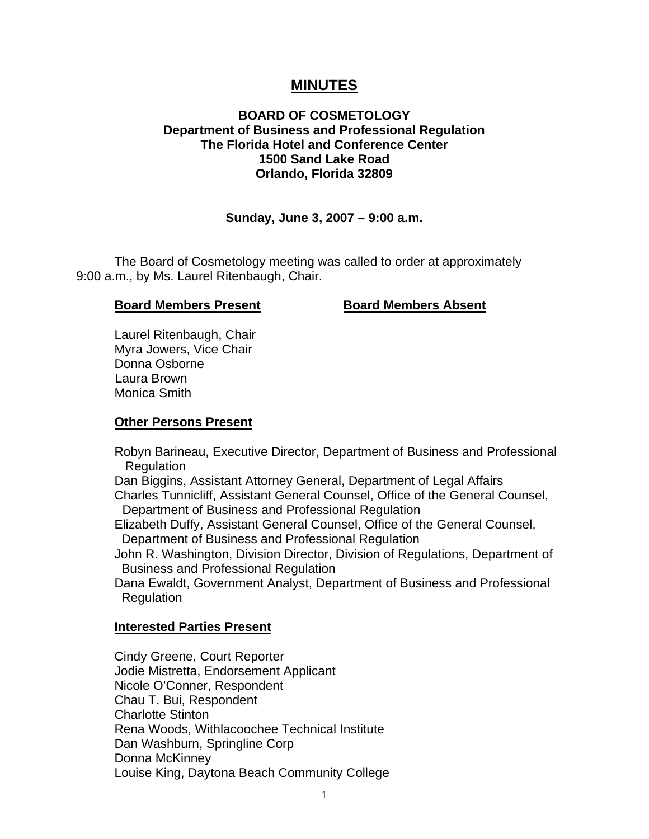# **MINUTES**

# **BOARD OF COSMETOLOGY Department of Business and Professional Regulation The Florida Hotel and Conference Center 1500 Sand Lake Road Orlando, Florida 32809**

# **Sunday, June 3, 2007 – 9:00 a.m.**

 The Board of Cosmetology meeting was called to order at approximately 9:00 a.m., by Ms. Laurel Ritenbaugh, Chair.

## **Board Members Present Board Members Absent**

 Laurel Ritenbaugh, Chair Myra Jowers, Vice Chair Donna Osborne Laura Brown Monica Smith

# **Other Persons Present**

 Robyn Barineau, Executive Director, Department of Business and Professional **Regulation** 

 Dan Biggins, Assistant Attorney General, Department of Legal Affairs Charles Tunnicliff, Assistant General Counsel, Office of the General Counsel, Department of Business and Professional Regulation

 Elizabeth Duffy, Assistant General Counsel, Office of the General Counsel, Department of Business and Professional Regulation

 John R. Washington, Division Director, Division of Regulations, Department of Business and Professional Regulation

 Dana Ewaldt, Government Analyst, Department of Business and Professional Regulation

### **Interested Parties Present**

Cindy Greene, Court Reporter Jodie Mistretta, Endorsement Applicant Nicole O'Conner, Respondent Chau T. Bui, Respondent Charlotte Stinton Rena Woods, Withlacoochee Technical Institute Dan Washburn, Springline Corp Donna McKinney Louise King, Daytona Beach Community College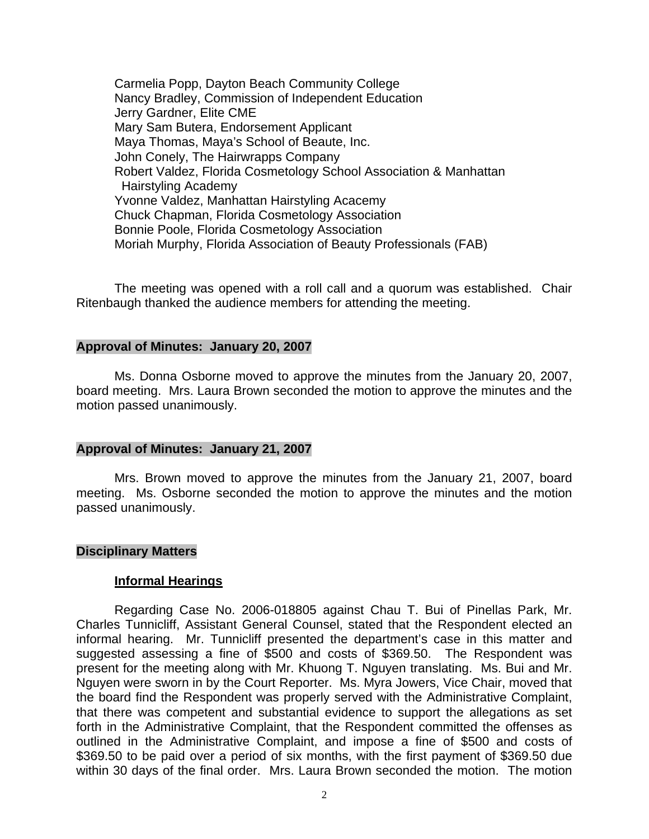Carmelia Popp, Dayton Beach Community College Nancy Bradley, Commission of Independent Education Jerry Gardner, Elite CME Mary Sam Butera, Endorsement Applicant Maya Thomas, Maya's School of Beaute, Inc. John Conely, The Hairwrapps Company Robert Valdez, Florida Cosmetology School Association & Manhattan Hairstyling Academy Yvonne Valdez, Manhattan Hairstyling Acacemy Chuck Chapman, Florida Cosmetology Association Bonnie Poole, Florida Cosmetology Association Moriah Murphy, Florida Association of Beauty Professionals (FAB)

 The meeting was opened with a roll call and a quorum was established. Chair Ritenbaugh thanked the audience members for attending the meeting.

#### **Approval of Minutes: January 20, 2007**

Ms. Donna Osborne moved to approve the minutes from the January 20, 2007, board meeting. Mrs. Laura Brown seconded the motion to approve the minutes and the motion passed unanimously.

#### **Approval of Minutes: January 21, 2007**

Mrs. Brown moved to approve the minutes from the January 21, 2007, board meeting. Ms. Osborne seconded the motion to approve the minutes and the motion passed unanimously.

#### **Disciplinary Matters**

### **Informal Hearings**

 Regarding Case No. 2006-018805 against Chau T. Bui of Pinellas Park, Mr. Charles Tunnicliff, Assistant General Counsel, stated that the Respondent elected an informal hearing. Mr. Tunnicliff presented the department's case in this matter and suggested assessing a fine of \$500 and costs of \$369.50. The Respondent was present for the meeting along with Mr. Khuong T. Nguyen translating. Ms. Bui and Mr. Nguyen were sworn in by the Court Reporter. Ms. Myra Jowers, Vice Chair, moved that the board find the Respondent was properly served with the Administrative Complaint, that there was competent and substantial evidence to support the allegations as set forth in the Administrative Complaint, that the Respondent committed the offenses as outlined in the Administrative Complaint, and impose a fine of \$500 and costs of \$369.50 to be paid over a period of six months, with the first payment of \$369.50 due within 30 days of the final order. Mrs. Laura Brown seconded the motion. The motion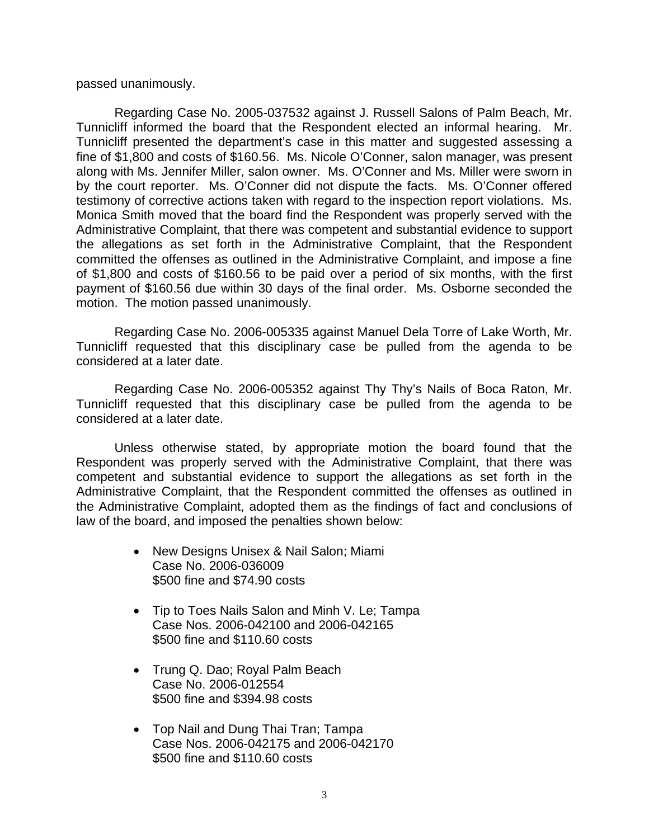passed unanimously.

 Regarding Case No. 2005-037532 against J. Russell Salons of Palm Beach, Mr. Tunnicliff informed the board that the Respondent elected an informal hearing. Mr. Tunnicliff presented the department's case in this matter and suggested assessing a fine of \$1,800 and costs of \$160.56. Ms. Nicole O'Conner, salon manager, was present along with Ms. Jennifer Miller, salon owner. Ms. O'Conner and Ms. Miller were sworn in by the court reporter. Ms. O'Conner did not dispute the facts. Ms. O'Conner offered testimony of corrective actions taken with regard to the inspection report violations. Ms. Monica Smith moved that the board find the Respondent was properly served with the Administrative Complaint, that there was competent and substantial evidence to support the allegations as set forth in the Administrative Complaint, that the Respondent committed the offenses as outlined in the Administrative Complaint, and impose a fine of \$1,800 and costs of \$160.56 to be paid over a period of six months, with the first payment of \$160.56 due within 30 days of the final order. Ms. Osborne seconded the motion. The motion passed unanimously.

 Regarding Case No. 2006-005335 against Manuel Dela Torre of Lake Worth, Mr. Tunnicliff requested that this disciplinary case be pulled from the agenda to be considered at a later date.

Regarding Case No. 2006-005352 against Thy Thy's Nails of Boca Raton, Mr. Tunnicliff requested that this disciplinary case be pulled from the agenda to be considered at a later date.

 Unless otherwise stated, by appropriate motion the board found that the Respondent was properly served with the Administrative Complaint, that there was competent and substantial evidence to support the allegations as set forth in the Administrative Complaint, that the Respondent committed the offenses as outlined in the Administrative Complaint, adopted them as the findings of fact and conclusions of law of the board, and imposed the penalties shown below:

- New Designs Unisex & Nail Salon; Miami Case No. 2006-036009 \$500 fine and \$74.90 costs
- Tip to Toes Nails Salon and Minh V. Le; Tampa Case Nos. 2006-042100 and 2006-042165 \$500 fine and \$110.60 costs
- Trung Q. Dao; Royal Palm Beach Case No. 2006-012554 \$500 fine and \$394.98 costs
- Top Nail and Dung Thai Tran; Tampa Case Nos. 2006-042175 and 2006-042170 \$500 fine and \$110.60 costs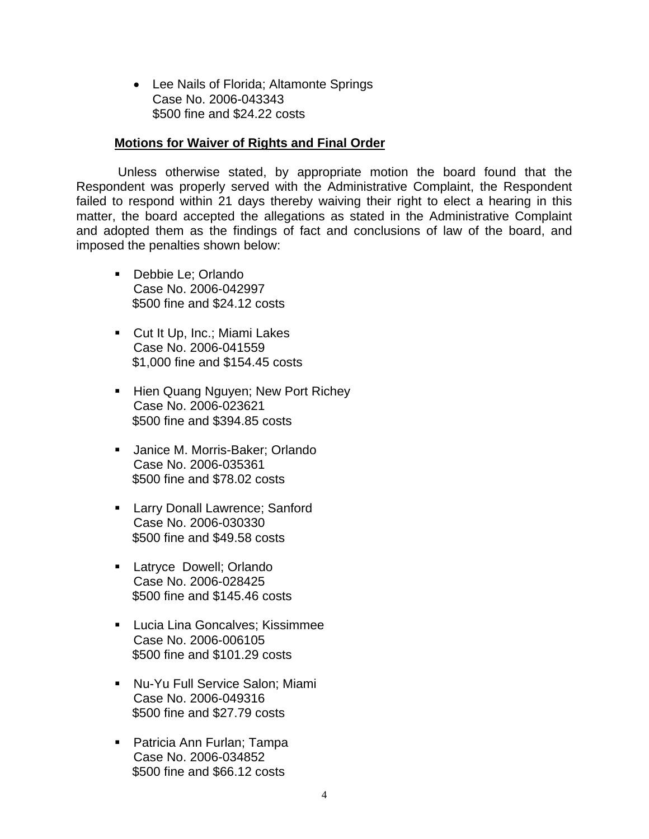• Lee Nails of Florida; Altamonte Springs Case No. 2006-043343 \$500 fine and \$24.22 costs

## **Motions for Waiver of Rights and Final Order**

 Unless otherwise stated, by appropriate motion the board found that the Respondent was properly served with the Administrative Complaint, the Respondent failed to respond within 21 days thereby waiving their right to elect a hearing in this matter, the board accepted the allegations as stated in the Administrative Complaint and adopted them as the findings of fact and conclusions of law of the board, and imposed the penalties shown below:

- **Debbie Le; Orlando** Case No. 2006-042997 \$500 fine and \$24.12 costs
- **Cut It Up, Inc.; Miami Lakes** Case No. 2006-041559 \$1,000 fine and \$154.45 costs
- **Hien Quang Nguyen; New Port Richey** Case No. 2006-023621 \$500 fine and \$394.85 costs
- **Janice M. Morris-Baker; Orlando** Case No. 2006-035361 \$500 fine and \$78.02 costs
- **Larry Donall Lawrence; Sanford** Case No. 2006-030330 \$500 fine and \$49.58 costs
- **Latryce Dowell: Orlando** Case No. 2006-028425 \$500 fine and \$145.46 costs
- **Lucia Lina Goncalves; Kissimmee** Case No. 2006-006105 \$500 fine and \$101.29 costs
- Nu-Yu Full Service Salon; Miami Case No. 2006-049316 \$500 fine and \$27.79 costs
- Patricia Ann Furlan; Tampa Case No. 2006-034852 \$500 fine and \$66.12 costs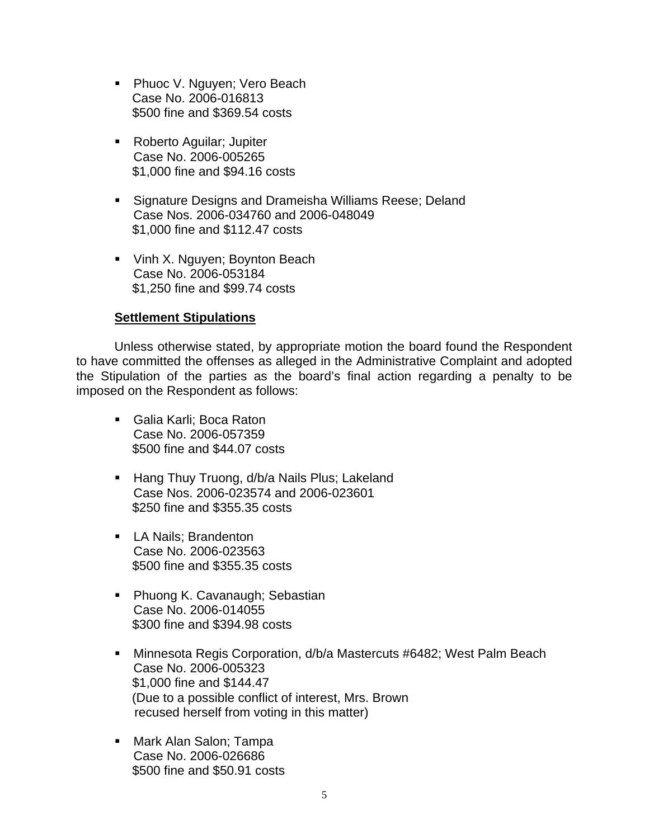- Phuoc V. Nguyen; Vero Beach Case No. 2006-016813 \$500 fine and \$369.54 costs
- **Roberto Aguilar; Jupiter** Case No. 2006-005265 \$1,000 fine and \$94.16 costs
- **Signature Designs and Drameisha Williams Reese; Deland** Case Nos. 2006-034760 and 2006-048049 \$1,000 fine and \$112.47 costs
- Vinh X. Nguyen; Boynton Beach Case No. 2006-053184 \$1,250 fine and \$99.74 costs

# **Settlement Stipulations**

 Unless otherwise stated, by appropriate motion the board found the Respondent to have committed the offenses as alleged in the Administrative Complaint and adopted the Stipulation of the parties as the board's final action regarding a penalty to be imposed on the Respondent as follows:

- Galia Karli; Boca Raton Case No. 2006-057359 \$500 fine and \$44.07 costs
- Hang Thuy Truong, d/b/a Nails Plus; Lakeland Case Nos. 2006-023574 and 2006-023601 \$250 fine and \$355.35 costs
- **LA Nails; Brandenton** Case No. 2006-023563 \$500 fine and \$355.35 costs
- **Phuong K. Cavanaugh; Sebastian** Case No. 2006-014055 \$300 fine and \$394.98 costs
- Minnesota Regis Corporation, d/b/a Mastercuts #6482; West Palm Beach Case No. 2006-005323 \$1,000 fine and \$144.47 (Due to a possible conflict of interest, Mrs. Brown recused herself from voting in this matter)
- Mark Alan Salon; Tampa Case No. 2006-026686 \$500 fine and \$50.91 costs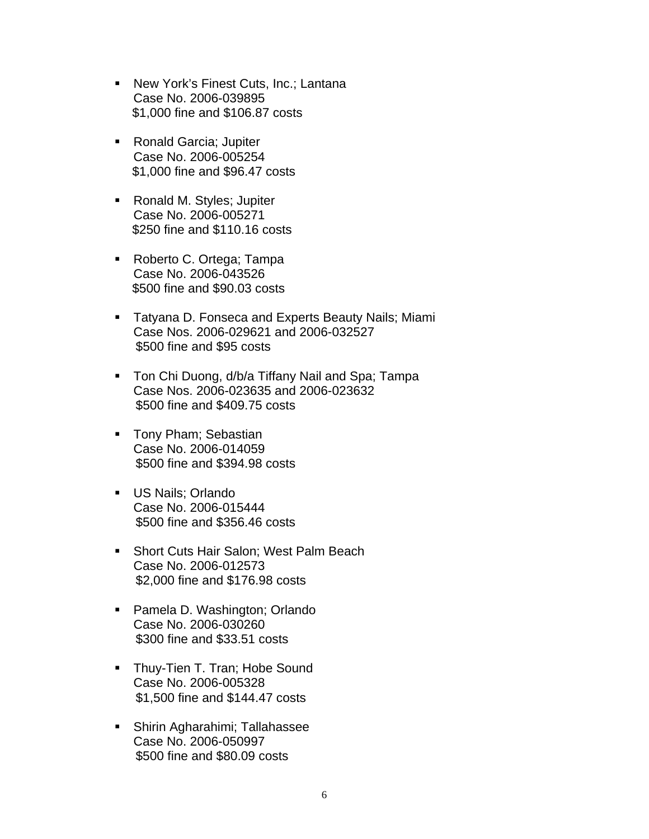- New York's Finest Cuts, Inc.; Lantana Case No. 2006-039895 \$1,000 fine and \$106.87 costs
- Ronald Garcia; Jupiter Case No. 2006-005254 \$1,000 fine and \$96.47 costs
- Ronald M. Styles; Jupiter Case No. 2006-005271 \$250 fine and \$110.16 costs
- Roberto C. Ortega; Tampa Case No. 2006-043526 \$500 fine and \$90.03 costs
- **Tatyana D. Fonseca and Experts Beauty Nails; Miami** Case Nos. 2006-029621 and 2006-032527 \$500 fine and \$95 costs
- **Ton Chi Duong, d/b/a Tiffany Nail and Spa; Tampa** Case Nos. 2006-023635 and 2006-023632 \$500 fine and \$409.75 costs
- **Tony Pham; Sebastian** Case No. 2006-014059 \$500 fine and \$394.98 costs
- **US Nails; Orlando** Case No. 2006-015444 \$500 fine and \$356.46 costs
- Short Cuts Hair Salon; West Palm Beach Case No. 2006-012573 \$2,000 fine and \$176.98 costs
- Pamela D. Washington; Orlando Case No. 2006-030260 \$300 fine and \$33.51 costs
- **Thuy-Tien T. Tran; Hobe Sound** Case No. 2006-005328 \$1,500 fine and \$144.47 costs
- Shirin Agharahimi; Tallahassee Case No. 2006-050997 \$500 fine and \$80.09 costs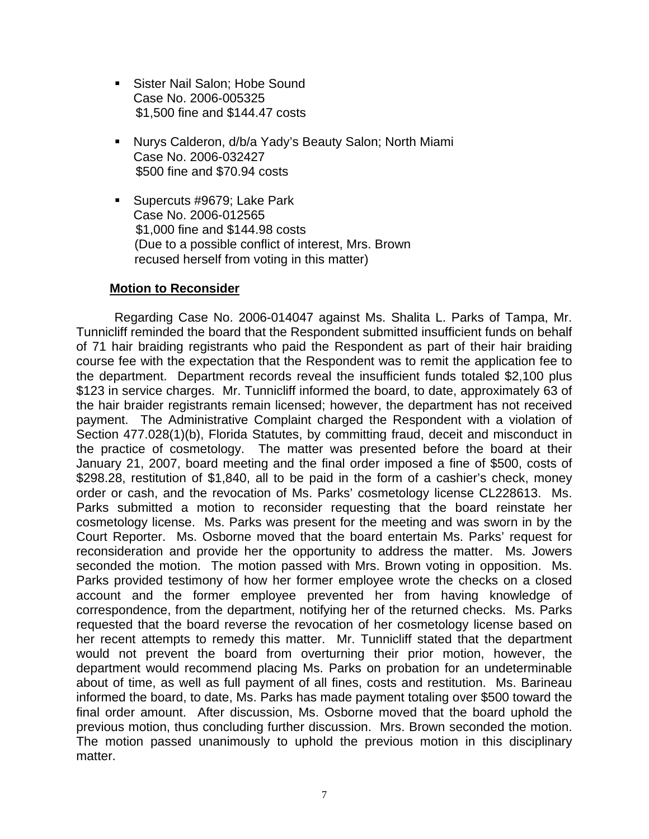- Sister Nail Salon: Hobe Sound Case No. 2006-005325 \$1,500 fine and \$144.47 costs
- Nurys Calderon, d/b/a Yady's Beauty Salon; North Miami Case No. 2006-032427 \$500 fine and \$70.94 costs
- Supercuts #9679: Lake Park Case No. 2006-012565 \$1,000 fine and \$144.98 costs (Due to a possible conflict of interest, Mrs. Brown recused herself from voting in this matter)

# **Motion to Reconsider**

 Regarding Case No. 2006-014047 against Ms. Shalita L. Parks of Tampa, Mr. Tunnicliff reminded the board that the Respondent submitted insufficient funds on behalf of 71 hair braiding registrants who paid the Respondent as part of their hair braiding course fee with the expectation that the Respondent was to remit the application fee to the department. Department records reveal the insufficient funds totaled \$2,100 plus \$123 in service charges. Mr. Tunnicliff informed the board, to date, approximately 63 of the hair braider registrants remain licensed; however, the department has not received payment. The Administrative Complaint charged the Respondent with a violation of Section 477.028(1)(b), Florida Statutes, by committing fraud, deceit and misconduct in the practice of cosmetology. The matter was presented before the board at their January 21, 2007, board meeting and the final order imposed a fine of \$500, costs of \$298.28, restitution of \$1,840, all to be paid in the form of a cashier's check, money order or cash, and the revocation of Ms. Parks' cosmetology license CL228613. Ms. Parks submitted a motion to reconsider requesting that the board reinstate her cosmetology license. Ms. Parks was present for the meeting and was sworn in by the Court Reporter. Ms. Osborne moved that the board entertain Ms. Parks' request for reconsideration and provide her the opportunity to address the matter. Ms. Jowers seconded the motion. The motion passed with Mrs. Brown voting in opposition. Ms. Parks provided testimony of how her former employee wrote the checks on a closed account and the former employee prevented her from having knowledge of correspondence, from the department, notifying her of the returned checks. Ms. Parks requested that the board reverse the revocation of her cosmetology license based on her recent attempts to remedy this matter. Mr. Tunnicliff stated that the department would not prevent the board from overturning their prior motion, however, the department would recommend placing Ms. Parks on probation for an undeterminable about of time, as well as full payment of all fines, costs and restitution. Ms. Barineau informed the board, to date, Ms. Parks has made payment totaling over \$500 toward the final order amount. After discussion, Ms. Osborne moved that the board uphold the previous motion, thus concluding further discussion. Mrs. Brown seconded the motion. The motion passed unanimously to uphold the previous motion in this disciplinary matter.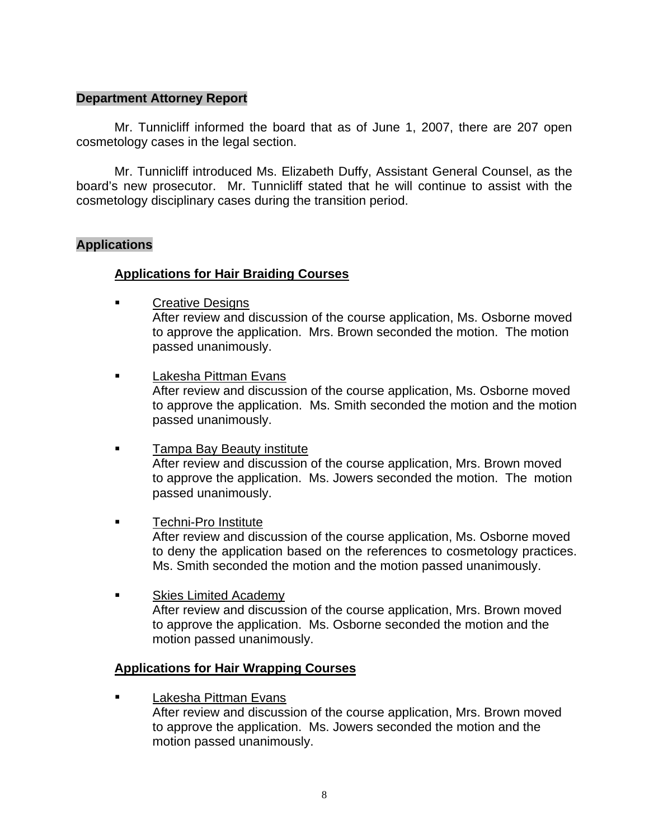# **Department Attorney Report**

Mr. Tunnicliff informed the board that as of June 1, 2007, there are 207 open cosmetology cases in the legal section.

 Mr. Tunnicliff introduced Ms. Elizabeth Duffy, Assistant General Counsel, as the board's new prosecutor. Mr. Tunnicliff stated that he will continue to assist with the cosmetology disciplinary cases during the transition period.

# **Applications**

# **Applications for Hair Braiding Courses**

- **Exercise** Creative Designs After review and discussion of the course application, Ms. Osborne moved to approve the application. Mrs. Brown seconded the motion. The motion passed unanimously.
- **Lakesha Pittman Evans**  After review and discussion of the course application, Ms. Osborne moved to approve the application. Ms. Smith seconded the motion and the motion passed unanimously.
- Tampa Bay Beauty institute After review and discussion of the course application, Mrs. Brown moved to approve the application. Ms. Jowers seconded the motion. The motion passed unanimously.
- **Techni-Pro Institute**  After review and discussion of the course application, Ms. Osborne moved to deny the application based on the references to cosmetology practices. Ms. Smith seconded the motion and the motion passed unanimously.
- **Example 3 Skies Limited Academy**  After review and discussion of the course application, Mrs. Brown moved to approve the application. Ms. Osborne seconded the motion and the motion passed unanimously.

# **Applications for Hair Wrapping Courses**

 Lakesha Pittman Evans After review and discussion of the course application, Mrs. Brown moved to approve the application. Ms. Jowers seconded the motion and the motion passed unanimously.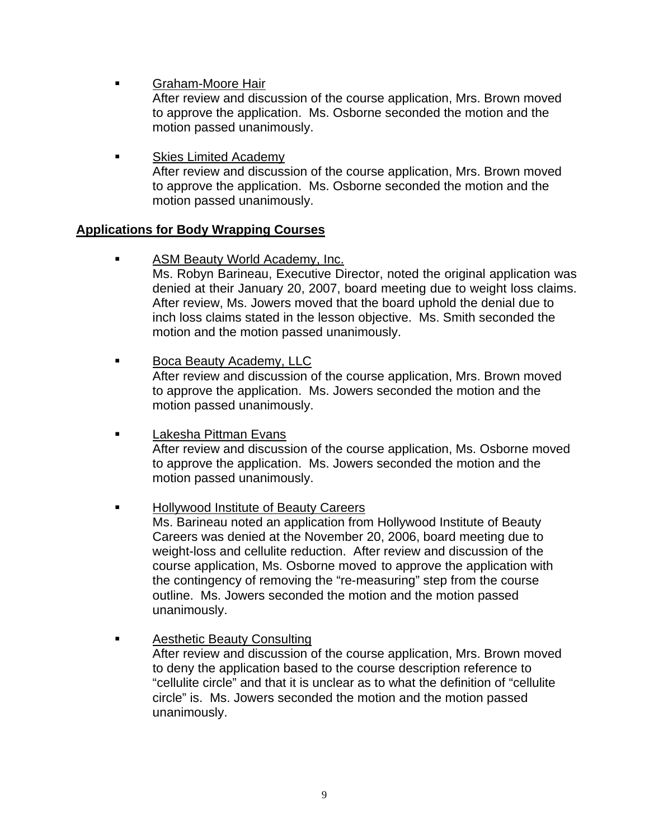Graham-Moore Hair

 After review and discussion of the course application, Mrs. Brown moved to approve the application. Ms. Osborne seconded the motion and the motion passed unanimously.

 Skies Limited Academy After review and discussion of the course application, Mrs. Brown moved to approve the application. Ms. Osborne seconded the motion and the motion passed unanimously.

# **Applications for Body Wrapping Courses**

- **EXECUTE:** ASM Beauty World Academy, Inc. Ms. Robyn Barineau, Executive Director, noted the original application was denied at their January 20, 2007, board meeting due to weight loss claims. After review, Ms. Jowers moved that the board uphold the denial due to inch loss claims stated in the lesson objective. Ms. Smith seconded the motion and the motion passed unanimously.
- Boca Beauty Academy, LLC After review and discussion of the course application, Mrs. Brown moved to approve the application. Ms. Jowers seconded the motion and the motion passed unanimously.
- **Lakesha Pittman Evans**  After review and discussion of the course application, Ms. Osborne moved to approve the application. Ms. Jowers seconded the motion and the motion passed unanimously.
- Hollywood Institute of Beauty Careers

 Ms. Barineau noted an application from Hollywood Institute of Beauty Careers was denied at the November 20, 2006, board meeting due to weight-loss and cellulite reduction. After review and discussion of the course application, Ms. Osborne moved to approve the application with the contingency of removing the "re-measuring" step from the course outline. Ms. Jowers seconded the motion and the motion passed unanimously.

**Example 3** Aesthetic Beauty Consulting

 After review and discussion of the course application, Mrs. Brown moved to deny the application based to the course description reference to "cellulite circle" and that it is unclear as to what the definition of "cellulite circle" is. Ms. Jowers seconded the motion and the motion passed unanimously.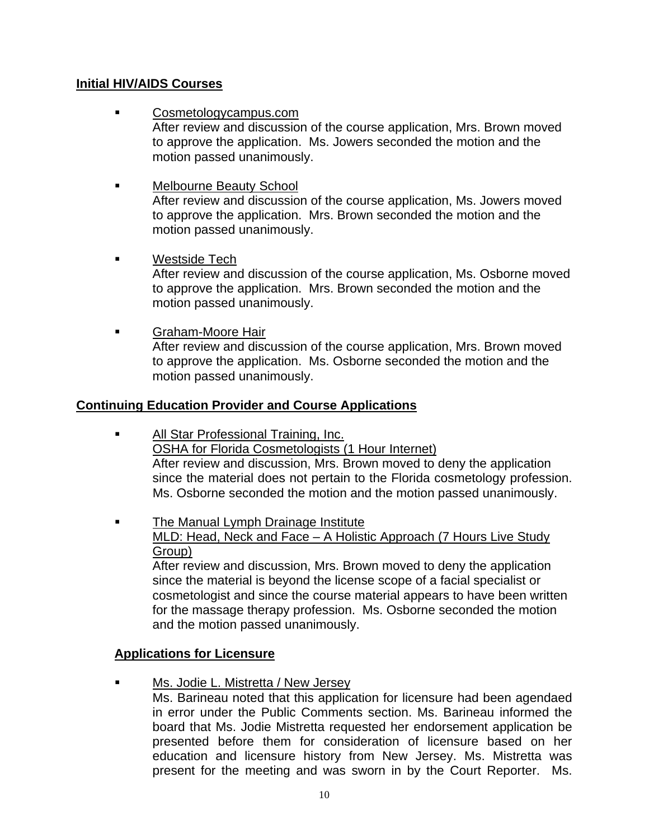# **Initial HIV/AIDS Courses**

- Cosmetologycampus.com After review and discussion of the course application, Mrs. Brown moved to approve the application. Ms. Jowers seconded the motion and the motion passed unanimously.
- Melbourne Beauty School After review and discussion of the course application, Ms. Jowers moved to approve the application. Mrs. Brown seconded the motion and the
- Westside Tech

 After review and discussion of the course application, Ms. Osborne moved to approve the application. Mrs. Brown seconded the motion and the motion passed unanimously.

 Graham-Moore Hair After review and discussion of the course application, Mrs. Brown moved to approve the application. Ms. Osborne seconded the motion and the motion passed unanimously.

# **Continuing Education Provider and Course Applications**

motion passed unanimously.

- All Star Professional Training, Inc. OSHA for Florida Cosmetologists (1 Hour Internet) After review and discussion, Mrs. Brown moved to deny the application since the material does not pertain to the Florida cosmetology profession. Ms. Osborne seconded the motion and the motion passed unanimously.
- **The Manual Lymph Drainage Institute**  MLD: Head, Neck and Face – A Holistic Approach (7 Hours Live Study Group)

 After review and discussion, Mrs. Brown moved to deny the application since the material is beyond the license scope of a facial specialist or cosmetologist and since the course material appears to have been written for the massage therapy profession. Ms. Osborne seconded the motion and the motion passed unanimously.

# **Applications for Licensure**

Ms. Jodie L. Mistretta / New Jersey

Ms. Barineau noted that this application for licensure had been agendaed in error under the Public Comments section. Ms. Barineau informed the board that Ms. Jodie Mistretta requested her endorsement application be presented before them for consideration of licensure based on her education and licensure history from New Jersey. Ms. Mistretta was present for the meeting and was sworn in by the Court Reporter. Ms.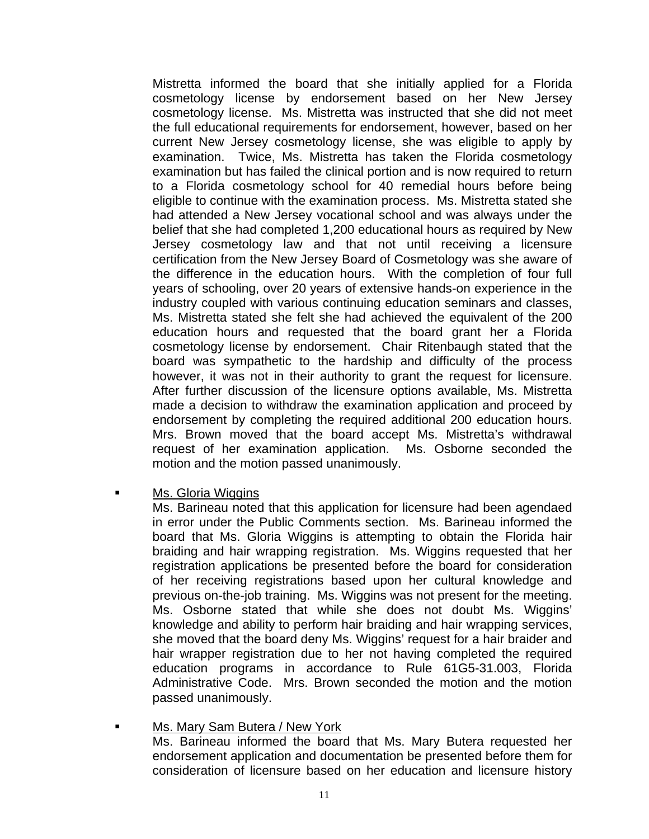Mistretta informed the board that she initially applied for a Florida cosmetology license by endorsement based on her New Jersey cosmetology license. Ms. Mistretta was instructed that she did not meet the full educational requirements for endorsement, however, based on her current New Jersey cosmetology license, she was eligible to apply by examination. Twice, Ms. Mistretta has taken the Florida cosmetology examination but has failed the clinical portion and is now required to return to a Florida cosmetology school for 40 remedial hours before being eligible to continue with the examination process. Ms. Mistretta stated she had attended a New Jersey vocational school and was always under the belief that she had completed 1,200 educational hours as required by New Jersey cosmetology law and that not until receiving a licensure certification from the New Jersey Board of Cosmetology was she aware of the difference in the education hours. With the completion of four full years of schooling, over 20 years of extensive hands-on experience in the industry coupled with various continuing education seminars and classes, Ms. Mistretta stated she felt she had achieved the equivalent of the 200 education hours and requested that the board grant her a Florida cosmetology license by endorsement. Chair Ritenbaugh stated that the board was sympathetic to the hardship and difficulty of the process however, it was not in their authority to grant the request for licensure. After further discussion of the licensure options available, Ms. Mistretta made a decision to withdraw the examination application and proceed by endorsement by completing the required additional 200 education hours. Mrs. Brown moved that the board accept Ms. Mistretta's withdrawal request of her examination application. Ms. Osborne seconded the motion and the motion passed unanimously.

Ms. Gloria Wiggins

Ms. Barineau noted that this application for licensure had been agendaed in error under the Public Comments section. Ms. Barineau informed the board that Ms. Gloria Wiggins is attempting to obtain the Florida hair braiding and hair wrapping registration. Ms. Wiggins requested that her registration applications be presented before the board for consideration of her receiving registrations based upon her cultural knowledge and previous on-the-job training. Ms. Wiggins was not present for the meeting. Ms. Osborne stated that while she does not doubt Ms. Wiggins' knowledge and ability to perform hair braiding and hair wrapping services, she moved that the board deny Ms. Wiggins' request for a hair braider and hair wrapper registration due to her not having completed the required education programs in accordance to Rule 61G5-31.003, Florida Administrative Code. Mrs. Brown seconded the motion and the motion passed unanimously.

**Ms. Mary Sam Butera / New York** Ms. Barineau informed the board that Ms. Mary Butera requested her endorsement application and documentation be presented before them for consideration of licensure based on her education and licensure history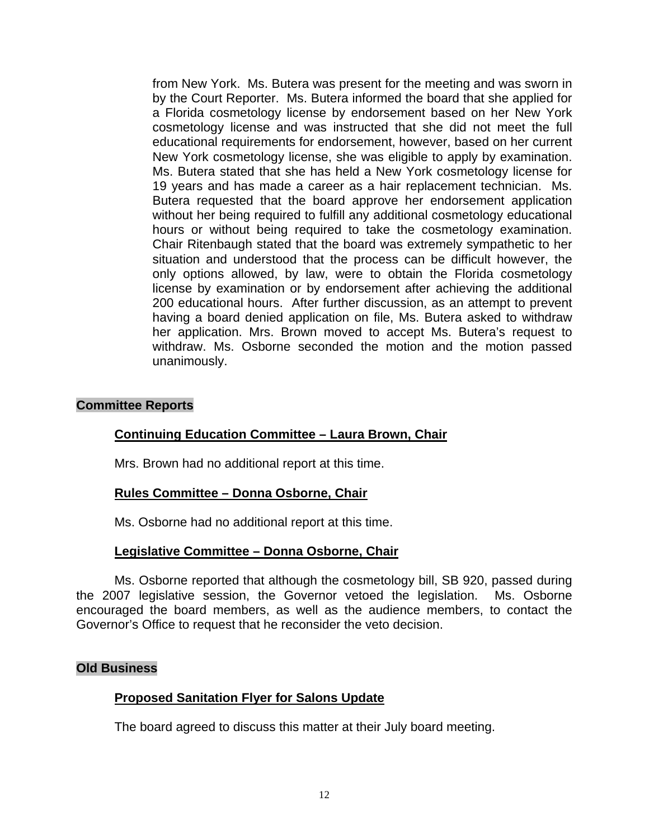from New York. Ms. Butera was present for the meeting and was sworn in by the Court Reporter. Ms. Butera informed the board that she applied for a Florida cosmetology license by endorsement based on her New York cosmetology license and was instructed that she did not meet the full educational requirements for endorsement, however, based on her current New York cosmetology license, she was eligible to apply by examination. Ms. Butera stated that she has held a New York cosmetology license for 19 years and has made a career as a hair replacement technician. Ms. Butera requested that the board approve her endorsement application without her being required to fulfill any additional cosmetology educational hours or without being required to take the cosmetology examination. Chair Ritenbaugh stated that the board was extremely sympathetic to her situation and understood that the process can be difficult however, the only options allowed, by law, were to obtain the Florida cosmetology license by examination or by endorsement after achieving the additional 200 educational hours. After further discussion, as an attempt to prevent having a board denied application on file, Ms. Butera asked to withdraw her application. Mrs. Brown moved to accept Ms. Butera's request to withdraw. Ms. Osborne seconded the motion and the motion passed unanimously.

## **Committee Reports**

### **Continuing Education Committee – Laura Brown, Chair**

Mrs. Brown had no additional report at this time.

### **Rules Committee – Donna Osborne, Chair**

Ms. Osborne had no additional report at this time.

### **Legislative Committee – Donna Osborne, Chair**

Ms. Osborne reported that although the cosmetology bill, SB 920, passed during the 2007 legislative session, the Governor vetoed the legislation. Ms. Osborne encouraged the board members, as well as the audience members, to contact the Governor's Office to request that he reconsider the veto decision.

### **Old Business**

### **Proposed Sanitation Flyer for Salons Update**

The board agreed to discuss this matter at their July board meeting.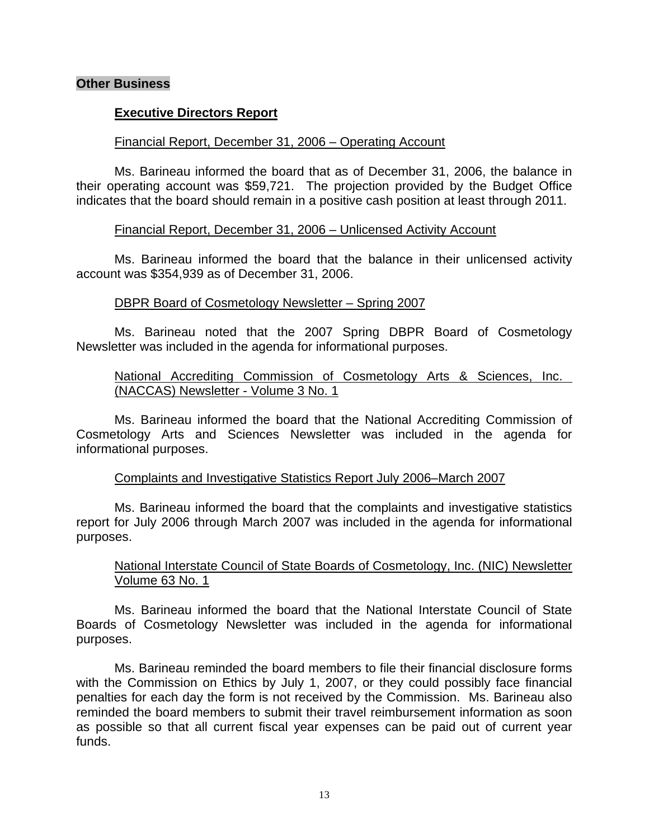## **Other Business**

## **Executive Directors Report**

### Financial Report, December 31, 2006 – Operating Account

 Ms. Barineau informed the board that as of December 31, 2006, the balance in their operating account was \$59,721. The projection provided by the Budget Office indicates that the board should remain in a positive cash position at least through 2011.

### Financial Report, December 31, 2006 – Unlicensed Activity Account

 Ms. Barineau informed the board that the balance in their unlicensed activity account was \$354,939 as of December 31, 2006.

## DBPR Board of Cosmetology Newsletter – Spring 2007

 Ms. Barineau noted that the 2007 Spring DBPR Board of Cosmetology Newsletter was included in the agenda for informational purposes.

## National Accrediting Commission of Cosmetology Arts & Sciences, Inc. (NACCAS) Newsletter - Volume 3 No. 1

 Ms. Barineau informed the board that the National Accrediting Commission of Cosmetology Arts and Sciences Newsletter was included in the agenda for informational purposes.

### Complaints and Investigative Statistics Report July 2006–March 2007

 Ms. Barineau informed the board that the complaints and investigative statistics report for July 2006 through March 2007 was included in the agenda for informational purposes.

# National Interstate Council of State Boards of Cosmetology, Inc. (NIC) Newsletter Volume 63 No. 1

 Ms. Barineau informed the board that the National Interstate Council of State Boards of Cosmetology Newsletter was included in the agenda for informational purposes.

 Ms. Barineau reminded the board members to file their financial disclosure forms with the Commission on Ethics by July 1, 2007, or they could possibly face financial penalties for each day the form is not received by the Commission. Ms. Barineau also reminded the board members to submit their travel reimbursement information as soon as possible so that all current fiscal year expenses can be paid out of current year funds.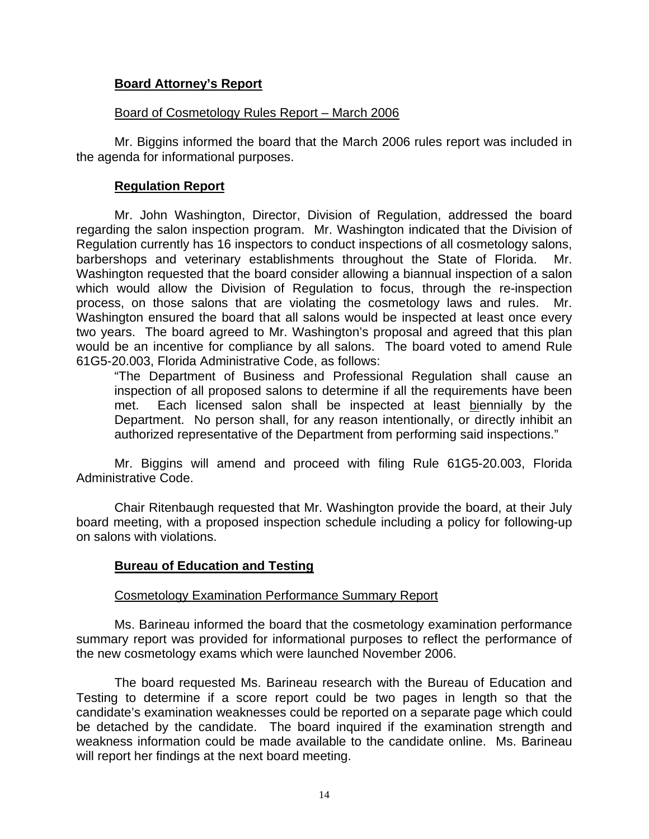## **Board Attorney's Report**

### Board of Cosmetology Rules Report – March 2006

 Mr. Biggins informed the board that the March 2006 rules report was included in the agenda for informational purposes.

## **Regulation Report**

 Mr. John Washington, Director, Division of Regulation, addressed the board regarding the salon inspection program. Mr. Washington indicated that the Division of Regulation currently has 16 inspectors to conduct inspections of all cosmetology salons, barbershops and veterinary establishments throughout the State of Florida. Mr. Washington requested that the board consider allowing a biannual inspection of a salon which would allow the Division of Regulation to focus, through the re-inspection process, on those salons that are violating the cosmetology laws and rules. Mr. Washington ensured the board that all salons would be inspected at least once every two years. The board agreed to Mr. Washington's proposal and agreed that this plan would be an incentive for compliance by all salons. The board voted to amend Rule 61G5-20.003, Florida Administrative Code, as follows:

 "The Department of Business and Professional Regulation shall cause an inspection of all proposed salons to determine if all the requirements have been met. Each licensed salon shall be inspected at least biennially by the Department. No person shall, for any reason intentionally, or directly inhibit an authorized representative of the Department from performing said inspections."

 Mr. Biggins will amend and proceed with filing Rule 61G5-20.003, Florida Administrative Code.

 Chair Ritenbaugh requested that Mr. Washington provide the board, at their July board meeting, with a proposed inspection schedule including a policy for following-up on salons with violations.

# **Bureau of Education and Testing**

### Cosmetology Examination Performance Summary Report

 Ms. Barineau informed the board that the cosmetology examination performance summary report was provided for informational purposes to reflect the performance of the new cosmetology exams which were launched November 2006.

 The board requested Ms. Barineau research with the Bureau of Education and Testing to determine if a score report could be two pages in length so that the candidate's examination weaknesses could be reported on a separate page which could be detached by the candidate. The board inquired if the examination strength and weakness information could be made available to the candidate online. Ms. Barineau will report her findings at the next board meeting.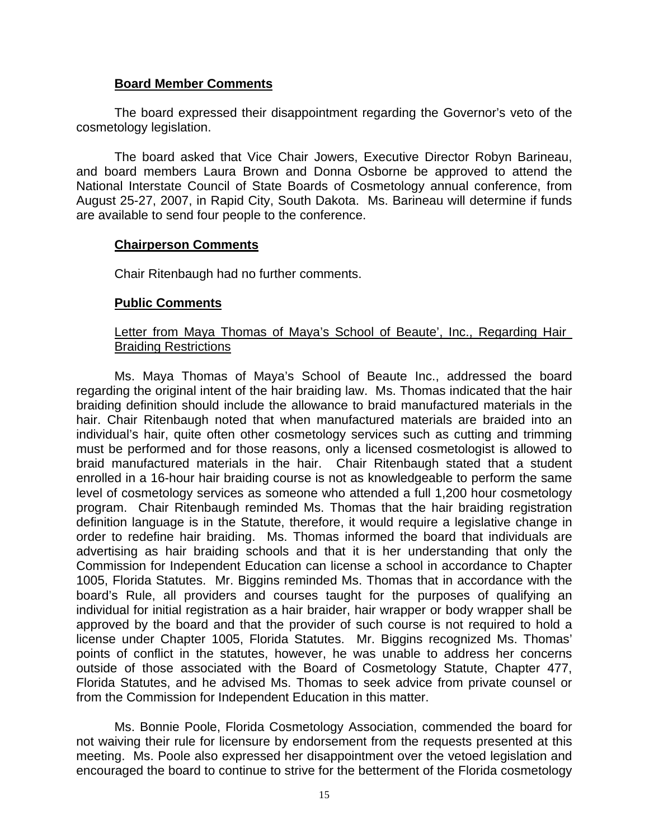## **Board Member Comments**

 The board expressed their disappointment regarding the Governor's veto of the cosmetology legislation.

 The board asked that Vice Chair Jowers, Executive Director Robyn Barineau, and board members Laura Brown and Donna Osborne be approved to attend the National Interstate Council of State Boards of Cosmetology annual conference, from August 25-27, 2007, in Rapid City, South Dakota. Ms. Barineau will determine if funds are available to send four people to the conference.

## **Chairperson Comments**

Chair Ritenbaugh had no further comments.

## **Public Comments**

## Letter from Maya Thomas of Maya's School of Beaute', Inc., Regarding Hair Braiding Restrictions

 Ms. Maya Thomas of Maya's School of Beaute Inc., addressed the board regarding the original intent of the hair braiding law. Ms. Thomas indicated that the hair braiding definition should include the allowance to braid manufactured materials in the hair. Chair Ritenbaugh noted that when manufactured materials are braided into an individual's hair, quite often other cosmetology services such as cutting and trimming must be performed and for those reasons, only a licensed cosmetologist is allowed to braid manufactured materials in the hair. Chair Ritenbaugh stated that a student enrolled in a 16-hour hair braiding course is not as knowledgeable to perform the same level of cosmetology services as someone who attended a full 1,200 hour cosmetology program. Chair Ritenbaugh reminded Ms. Thomas that the hair braiding registration definition language is in the Statute, therefore, it would require a legislative change in order to redefine hair braiding. Ms. Thomas informed the board that individuals are advertising as hair braiding schools and that it is her understanding that only the Commission for Independent Education can license a school in accordance to Chapter 1005, Florida Statutes. Mr. Biggins reminded Ms. Thomas that in accordance with the board's Rule, all providers and courses taught for the purposes of qualifying an individual for initial registration as a hair braider, hair wrapper or body wrapper shall be approved by the board and that the provider of such course is not required to hold a license under Chapter 1005, Florida Statutes. Mr. Biggins recognized Ms. Thomas' points of conflict in the statutes, however, he was unable to address her concerns outside of those associated with the Board of Cosmetology Statute, Chapter 477, Florida Statutes, and he advised Ms. Thomas to seek advice from private counsel or from the Commission for Independent Education in this matter.

 Ms. Bonnie Poole, Florida Cosmetology Association, commended the board for not waiving their rule for licensure by endorsement from the requests presented at this meeting. Ms. Poole also expressed her disappointment over the vetoed legislation and encouraged the board to continue to strive for the betterment of the Florida cosmetology